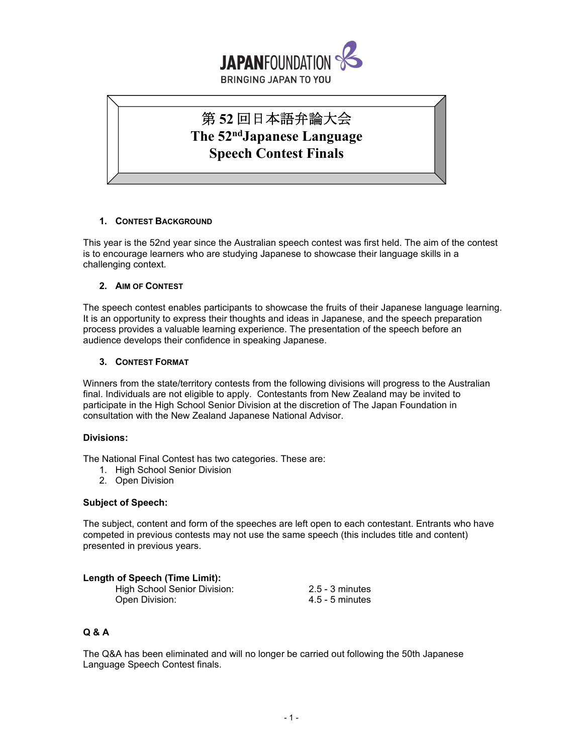

# 第 **52** 回日本語弁論大会 **The 52ndJapanese Language Speech Contest Finals**

## **1. CONTEST BACKGROUND**

This year is the 52nd year since the Australian speech contest was first held. The aim of the contest is to encourage learners who are studying Japanese to showcase their language skills in a challenging context.

## **2. AIM OF CONTEST**

The speech contest enables participants to showcase the fruits of their Japanese language learning. It is an opportunity to express their thoughts and ideas in Japanese, and the speech preparation process provides a valuable learning experience. The presentation of the speech before an audience develops their confidence in speaking Japanese.

## **3. CONTEST FORMAT**

Winners from the state/territory contests from the following divisions will progress to the Australian final. Individuals are not eligible to apply. Contestants from New Zealand may be invited to participate in the High School Senior Division at the discretion of The Japan Foundation in consultation with the New Zealand Japanese National Advisor.

#### **Divisions:**

The National Final Contest has two categories. These are:

- 1. High School Senior Division
- 2. Open Division

#### **Subject of Speech:**

The subject, content and form of the speeches are left open to each contestant. Entrants who have competed in previous contests may not use the same speech (this includes title and content) presented in previous years.

#### **Length of Speech (Time Limit):**

| High School Senior Division: | $2.5 - 3$ minutes |
|------------------------------|-------------------|
| Open Division:               | $4.5$ - 5 minutes |

# **Q & A**

The Q&A has been eliminated and will no longer be carried out following the 50th Japanese Language Speech Contest finals.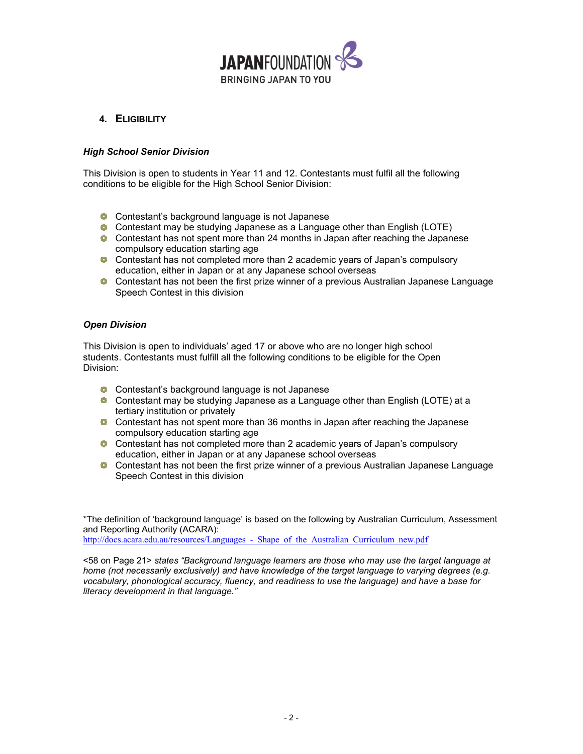

# **4. ELIGIBILITY**

# *High School Senior Division*

This Division is open to students in Year 11 and 12. Contestants must fulfil all the following conditions to be eligible for the High School Senior Division:

- **Contestant's background language is not Japanese**
- **Contestant may be studying Japanese as a Language other than English (LOTE)**
- **Contestant has not spent more than 24 months in Japan after reaching the Japanese** compulsory education starting age
- **Contestant has not completed more than 2 academic years of Japan's compulsory** education, either in Japan or at any Japanese school overseas
- **C** Contestant has not been the first prize winner of a previous Australian Japanese Language Speech Contest in this division

## *Open Division*

This Division is open to individuals' aged 17 or above who are no longer high school students. Contestants must fulfill all the following conditions to be eligible for the Open Division:

- **Contestant's background language is not Japanese**
- **Contestant may be studying Japanese as a Language other than English (LOTE) at a** tertiary institution or privately
- **Contestant has not spent more than 36 months in Japan after reaching the Japanese** compulsory education starting age
- **Contestant has not completed more than 2 academic years of Japan's compulsory** education, either in Japan or at any Japanese school overseas
- **C** Contestant has not been the first prize winner of a previous Australian Japanese Language Speech Contest in this division

\*The definition of 'background language' is based on the following by Australian Curriculum, Assessment and Reporting Authority (ACARA):

http://docs.acara.edu.au/resources/Languages - Shape of the Australian Curriculum new.pdf

<58 on Page 21> *states "Background language learners are those who may use the target language at home (not necessarily exclusively) and have knowledge of the target language to varying degrees (e.g. vocabulary, phonological accuracy, fluency, and readiness to use the language) and have a base for literacy development in that language."*